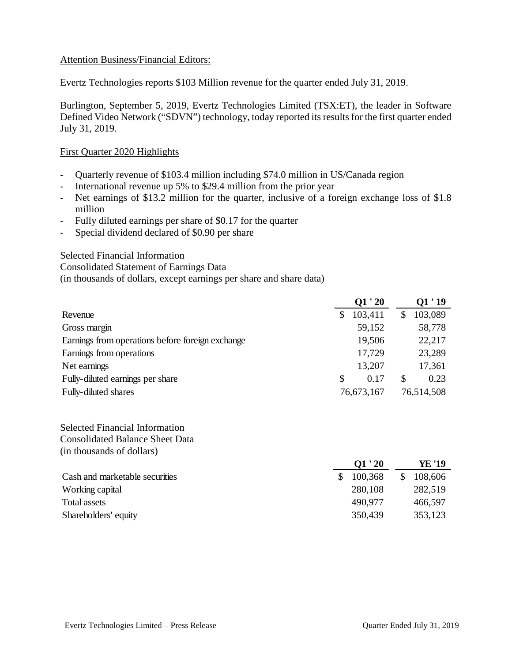### Attention Business/Financial Editors:

Evertz Technologies reports \$103 Million revenue for the quarter ended July 31, 2019.

Burlington, September 5, 2019, Evertz Technologies Limited (TSX:ET), the leader in Software Defined Video Network ("SDVN") technology, today reported its results for the first quarter ended July 31, 2019.

### First Quarter 2020 Highlights

- Quarterly revenue of \$103.4 million including \$74.0 million in US/Canada region
- International revenue up 5% to \$29.4 million from the prior year
- Net earnings of \$13.2 million for the quarter, inclusive of a foreign exchange loss of \$1.8 million
- Fully diluted earnings per share of \$0.17 for the quarter
- Special dividend declared of \$0.90 per share

Selected Financial Information

Consolidated Statement of Earnings Data

(in thousands of dollars, except earnings per share and share data)

|                                                  |            | Q1'20   |   | 01 ' 19    |  |
|--------------------------------------------------|------------|---------|---|------------|--|
| Revenue                                          | \$         | 103,411 |   | 103,089    |  |
| Gross margin                                     |            | 59,152  |   | 58,778     |  |
| Earnings from operations before foreign exchange |            | 19,506  |   | 22,217     |  |
| Earnings from operations                         |            | 17,729  |   | 23,289     |  |
| Net earnings                                     |            | 13,207  |   | 17,361     |  |
| Fully-diluted earnings per share                 | S          | 0.17    | S | 0.23       |  |
| <b>Fully-diluted shares</b>                      | 76,673,167 |         |   | 76,514,508 |  |

Selected Financial Information Consolidated Balance Sheet Data (in thousands of dollars)

|                                | O1 ' 20 | YE '19  |
|--------------------------------|---------|---------|
| Cash and marketable securities | 100,368 | 108,606 |
| Working capital                | 280,108 | 282,519 |
| Total assets                   | 490,977 | 466,597 |
| Shareholders' equity           | 350,439 | 353,123 |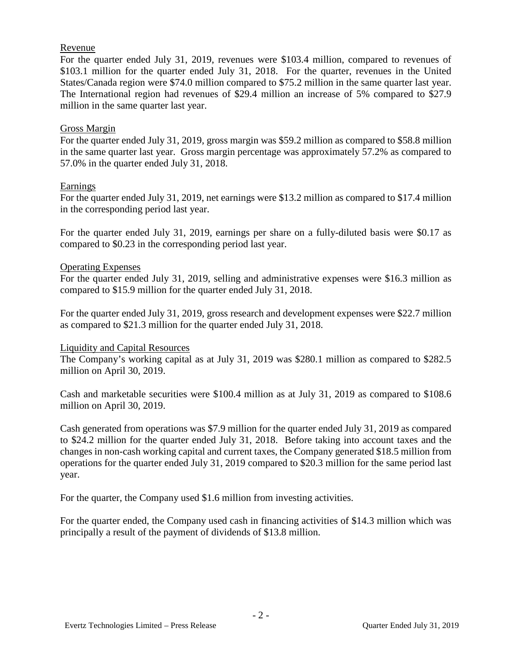# Revenue

For the quarter ended July 31, 2019, revenues were \$103.4 million, compared to revenues of \$103.1 million for the quarter ended July 31, 2018. For the quarter, revenues in the United States/Canada region were \$74.0 million compared to \$75.2 million in the same quarter last year. The International region had revenues of \$29.4 million an increase of 5% compared to \$27.9 million in the same quarter last year.

# Gross Margin

For the quarter ended July 31, 2019, gross margin was \$59.2 million as compared to \$58.8 million in the same quarter last year. Gross margin percentage was approximately 57.2% as compared to 57.0% in the quarter ended July 31, 2018.

# Earnings

For the quarter ended July 31, 2019, net earnings were \$13.2 million as compared to \$17.4 million in the corresponding period last year.

For the quarter ended July 31, 2019, earnings per share on a fully-diluted basis were \$0.17 as compared to \$0.23 in the corresponding period last year.

# Operating Expenses

For the quarter ended July 31, 2019, selling and administrative expenses were \$16.3 million as compared to \$15.9 million for the quarter ended July 31, 2018.

For the quarter ended July 31, 2019, gross research and development expenses were \$22.7 million as compared to \$21.3 million for the quarter ended July 31, 2018.

#### Liquidity and Capital Resources

The Company's working capital as at July 31, 2019 was \$280.1 million as compared to \$282.5 million on April 30, 2019.

Cash and marketable securities were \$100.4 million as at July 31, 2019 as compared to \$108.6 million on April 30, 2019.

Cash generated from operations was \$7.9 million for the quarter ended July 31, 2019 as compared to \$24.2 million for the quarter ended July 31, 2018. Before taking into account taxes and the changes in non-cash working capital and current taxes, the Company generated \$18.5 million from operations for the quarter ended July 31, 2019 compared to \$20.3 million for the same period last year.

For the quarter, the Company used \$1.6 million from investing activities.

For the quarter ended, the Company used cash in financing activities of \$14.3 million which was principally a result of the payment of dividends of \$13.8 million.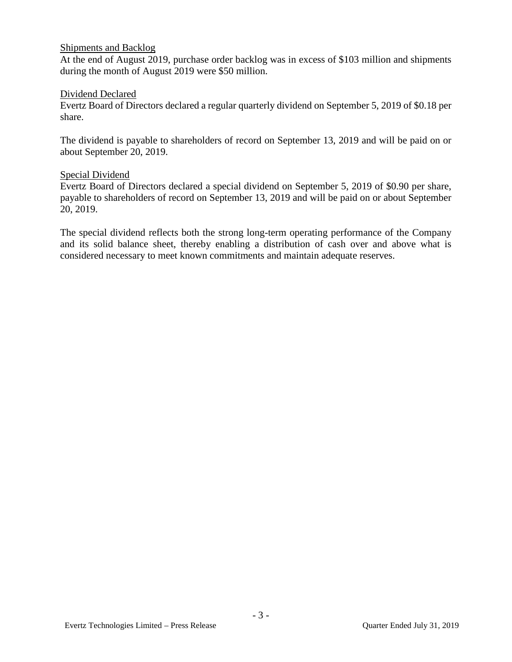# Shipments and Backlog

At the end of August 2019, purchase order backlog was in excess of \$103 million and shipments during the month of August 2019 were \$50 million.

### Dividend Declared

Evertz Board of Directors declared a regular quarterly dividend on September 5, 2019 of \$0.18 per share.

The dividend is payable to shareholders of record on September 13, 2019 and will be paid on or about September 20, 2019.

#### Special Dividend

Evertz Board of Directors declared a special dividend on September 5, 2019 of \$0.90 per share, payable to shareholders of record on September 13, 2019 and will be paid on or about September 20, 2019.

The special dividend reflects both the strong long-term operating performance of the Company and its solid balance sheet, thereby enabling a distribution of cash over and above what is considered necessary to meet known commitments and maintain adequate reserves.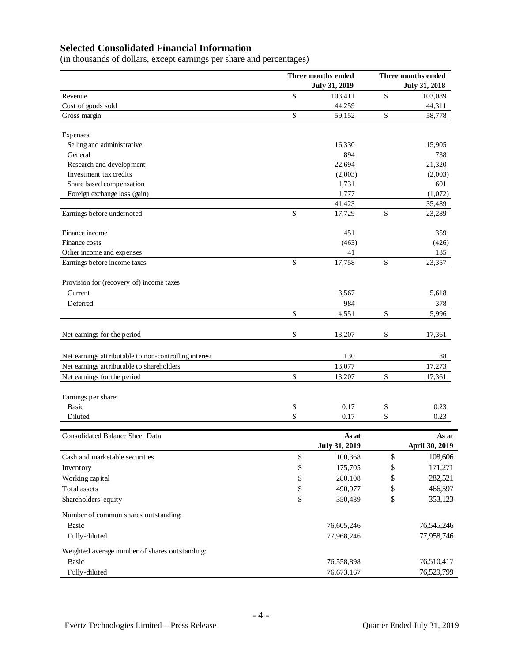# **Selected Consolidated Financial Information**

(in thousands of dollars, except earnings per share and percentages)

|                                                       | Three months ended   |    | Three months ended   |  |  |
|-------------------------------------------------------|----------------------|----|----------------------|--|--|
|                                                       | <b>July 31, 2019</b> |    | <b>July 31, 2018</b> |  |  |
| Revenue                                               | \$<br>103,411        | \$ | 103,089              |  |  |
| Cost of goods sold                                    | 44,259               |    | 44,311               |  |  |
| Gross margin                                          | \$<br>59,152         | \$ | 58,778               |  |  |
| Expenses                                              |                      |    |                      |  |  |
| Selling and administrative                            | 16,330               |    | 15,905               |  |  |
| General                                               | 894                  |    | 738                  |  |  |
| Research and development                              | 22,694               |    | 21,320               |  |  |
| Investment tax credits                                | (2,003)              |    | (2,003)              |  |  |
| Share based compensation                              | 1,731                |    | 601                  |  |  |
| Foreign exchange loss (gain)                          | 1,777                |    | (1,072)              |  |  |
|                                                       | 41,423               |    | 35,489               |  |  |
| Earnings before undernoted                            | \$<br>17,729         | \$ | 23,289               |  |  |
| Finance income                                        | 451                  |    | 359                  |  |  |
| Finance costs                                         | (463)                |    | (426)                |  |  |
| Other income and expenses                             | 41                   |    | 135                  |  |  |
| Earnings before income taxes                          | \$<br>17,758         | \$ | 23,357               |  |  |
| Provision for (recovery of) income taxes              |                      |    |                      |  |  |
| Current                                               | 3,567                |    | 5,618                |  |  |
| Deferred                                              | 984                  |    | 378                  |  |  |
|                                                       | \$<br>4,551          | \$ | 5,996                |  |  |
| Net earnings for the period                           | \$<br>13,207         | \$ | 17,361               |  |  |
|                                                       |                      |    |                      |  |  |
| Net earnings attributable to non-controlling interest | 130                  |    | 88                   |  |  |
| Net earnings attributable to shareholders             | 13,077               |    | 17,273               |  |  |
| Net earnings for the period                           | \$<br>13,207         | \$ | 17,361               |  |  |
| Earnings per share:                                   |                      |    |                      |  |  |
| <b>Basic</b>                                          | \$<br>0.17           | \$ | 0.23                 |  |  |
| Diluted                                               | \$<br>0.17           | \$ | 0.23                 |  |  |
| <b>Consolidated Balance Sheet Data</b>                | As at                |    | As at                |  |  |
|                                                       | July 31, 2019        |    | April 30, 2019       |  |  |
| Cash and marketable securities                        | \$<br>100,368        | \$ | 108,606              |  |  |
| Inventory                                             | \$<br>175,705        | \$ | 171,271              |  |  |
| Working capital                                       | \$<br>280,108        | \$ | 282,521              |  |  |
| Total assets                                          | \$<br>490,977        | \$ | 466,597              |  |  |
| Shareholders' equity                                  | \$<br>350,439        | \$ | 353,123              |  |  |
| Number of common shares outstanding:                  |                      |    |                      |  |  |
| <b>Basic</b>                                          | 76,605,246           |    | 76,545,246           |  |  |
| Fully-diluted                                         | 77,968,246           |    | 77,958,746           |  |  |
| Weighted average number of shares outstanding:        |                      |    |                      |  |  |
| <b>Basic</b>                                          | 76,558,898           |    | 76,510,417           |  |  |
| Fully-diluted                                         | 76,673,167           |    | 76,529,799           |  |  |